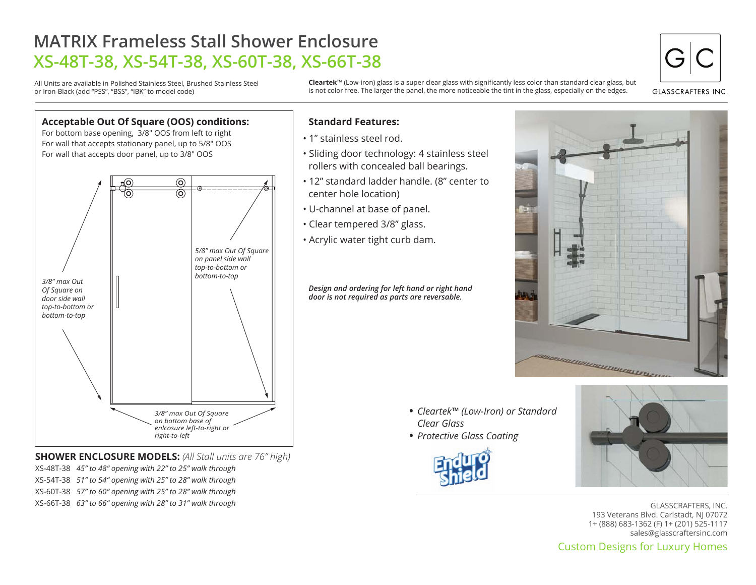## **MATRIX Frameless Stall Shower Enclosure XS-48T-38, XS-54T-38, XS-60T-38, XS-66T-38**

All Units are available in Polished Stainless Steel, Brushed Stainless Steel or Iron-Black (add "PSS", "BSS", "IBK" to model code)

**Cleartek**™ (Low-iron) glass is a super clear glass with significantly less color than standard clear glass, but is not color free. The larger the panel, the more noticeable the tint in the glass, especially on the edges.



**GLASSCRAFTERS INC** 

## **Acceptable Out Of Square (OOS) conditions:** For bottom base opening, 3/8" OOS from left to right For wall that accepts stationary panel, up to 5/8" OOS For wall that accepts door panel, up to 3/8" OOS  $\odot$ *5/8" max Out Of Square on panel side wall top-to-bottom or bottom-to-top 3/8" max Out Of Square on door side wall top-to-bottom or bottom-to-top 3/8" max Out Of Square on bottom base of enlcosure left-to-right or right-to-left*

**SHOWER ENCLOSURE MODELS:** *(All Stall units are 76" high)* XS-48T-38 *45" to 48" opening with 22" to 25" walk through*

- XS-54T-38 *51" to 54" opening with 25" to 28" walk through*
- XS-60T-38 *57" to 60" opening with 25" to 28" walk through*

XS-66T-38 *63" to 66" opening with 28" to 31" walk through*

## **Standard Features:**

- 1" stainless steel rod.
- Sliding door technology: 4 stainless steel rollers with concealed ball bearings.
- 12" standard ladder handle. (8" center to center hole location)
- U-channel at base of panel.
- Clear tempered 3/8" glass.
- Acrylic water tight curb dam.

*Design and ordering for left hand or right hand door is not required as parts are reversable.*



- *Cleartek™ (Low-Iron) or Standard Clear Glass*
- *Protective Glass Coating* •





Custom Designs for Luxury Homes GLASSCRAFTERS, INC. 193 Veterans Blvd. Carlstadt, NJ 07072 1+ (888) 683-1362 (F) 1+ (201) 525-1117 sales@glasscraftersinc.com